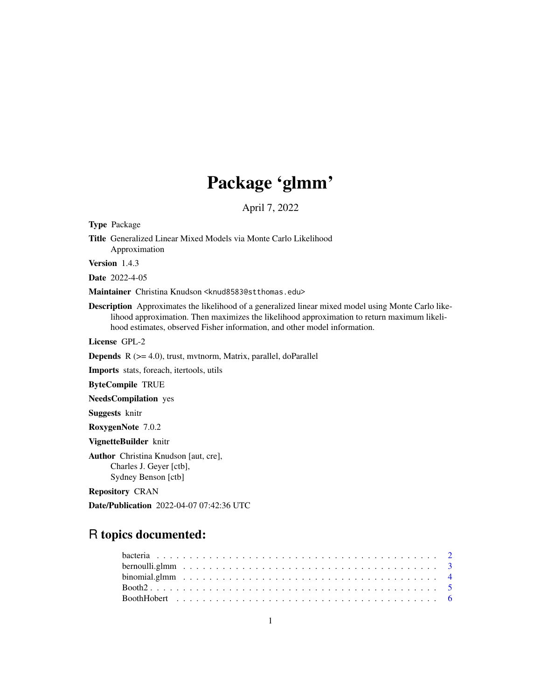# Package 'glmm'

April 7, 2022

Title Generalized Linear Mixed Models via Monte Carlo Likelihood Approximation Version 1.4.3 Date 2022-4-05 Maintainer Christina Knudson <knud8583@stthomas.edu> Description Approximates the likelihood of a generalized linear mixed model using Monte Carlo likelihood approximation. Then maximizes the likelihood approximation to return maximum likelihood estimates, observed Fisher information, and other model information. License GPL-2

**Depends** R  $(>= 4.0)$ , trust, mythorm, Matrix, parallel, doParallel

Imports stats, foreach, itertools, utils

ByteCompile TRUE

NeedsCompilation yes

Suggests knitr

<span id="page-0-0"></span>Type Package

RoxygenNote 7.0.2

VignetteBuilder knitr

Author Christina Knudson [aut, cre], Charles J. Geyer [ctb], Sydney Benson [ctb]

Repository CRAN

Date/Publication 2022-04-07 07:42:36 UTC

# R topics documented: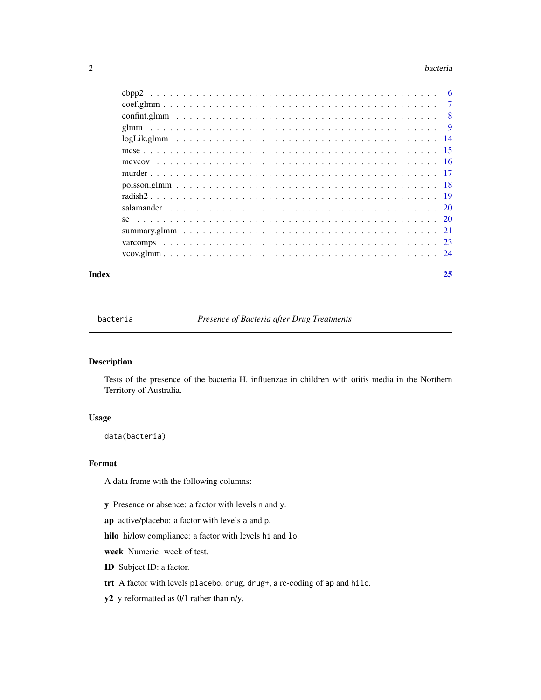#### <span id="page-1-0"></span>2 bacteria de la contrada de la contrada de la contrada de la contrada de la contrada de la contrada de la con

| Index | 25 |
|-------|----|
|       |    |
|       |    |
|       |    |
|       |    |
|       |    |
|       |    |
|       |    |
|       |    |
|       |    |
|       |    |
|       |    |
|       |    |
|       |    |
|       |    |
|       |    |

bacteria *Presence of Bacteria after Drug Treatments*

# Description

Tests of the presence of the bacteria H. influenzae in children with otitis media in the Northern Territory of Australia.

# Usage

data(bacteria)

# Format

A data frame with the following columns:

y Presence or absence: a factor with levels n and y.

ap active/placebo: a factor with levels a and p.

hilo hi/low compliance: a factor with levels hi and lo.

week Numeric: week of test.

- ID Subject ID: a factor.
- trt A factor with levels placebo, drug, drug+, a re-coding of ap and hilo.
- y2 y reformatted as 0/1 rather than n/y.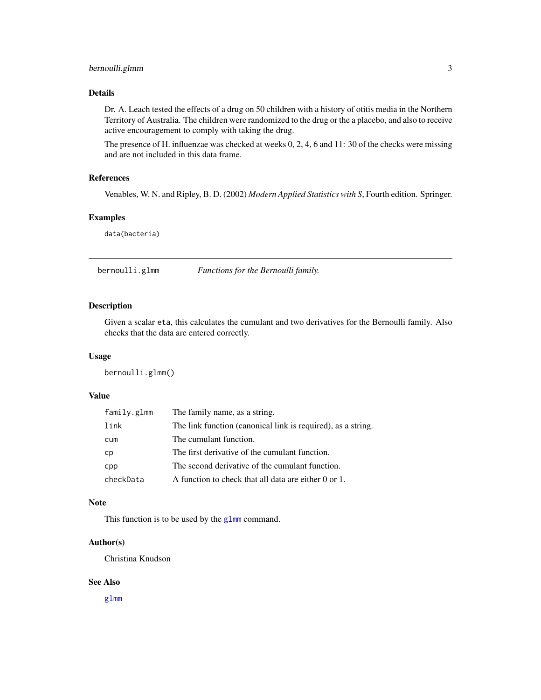# <span id="page-2-0"></span>Details

Dr. A. Leach tested the effects of a drug on 50 children with a history of otitis media in the Northern Territory of Australia. The children were randomized to the drug or the a placebo, and also to receive active encouragement to comply with taking the drug.

The presence of H. influenzae was checked at weeks 0, 2, 4, 6 and 11: 30 of the checks were missing and are not included in this data frame.

# References

Venables, W. N. and Ripley, B. D. (2002) *Modern Applied Statistics with S*, Fourth edition. Springer.

# Examples

data(bacteria)

<span id="page-2-1"></span>bernoulli.glmm *Functions for the Bernoulli family.*

# Description

Given a scalar eta, this calculates the cumulant and two derivatives for the Bernoulli family. Also checks that the data are entered correctly.

#### Usage

bernoulli.glmm()

# Value

| family.glmm | The family name, as a string.                                |
|-------------|--------------------------------------------------------------|
| link        | The link function (canonical link is required), as a string. |
| cum         | The cumulant function.                                       |
| сp          | The first derivative of the cumulant function.               |
| cpp         | The second derivative of the cumulant function.              |
| checkData   | A function to check that all data are either 0 or 1.         |

#### Note

This function is to be used by the [glmm](#page-8-1) command.

# Author(s)

Christina Knudson

## See Also

[glmm](#page-8-1)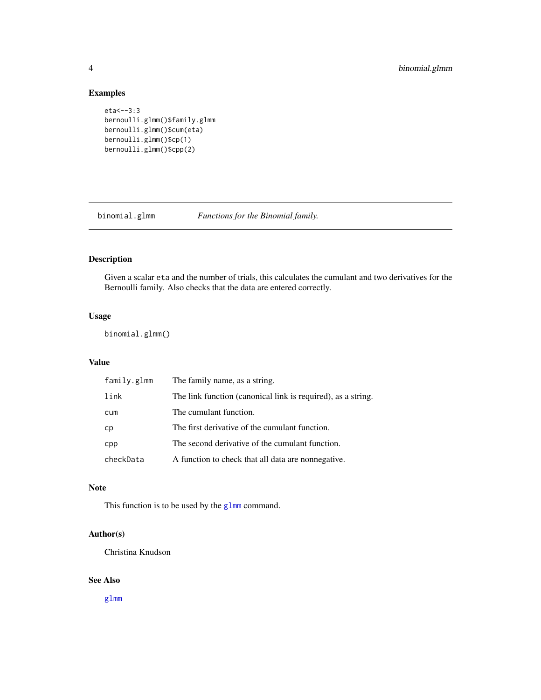# Examples

```
eta<--3:3
bernoulli.glmm()$family.glmm
bernoulli.glmm()$cum(eta)
bernoulli.glmm()$cp(1)
bernoulli.glmm()$cpp(2)
```
<span id="page-3-1"></span>

binomial.glmm *Functions for the Binomial family.*

# Description

Given a scalar eta and the number of trials, this calculates the cumulant and two derivatives for the Bernoulli family. Also checks that the data are entered correctly.

# Usage

binomial.glmm()

# Value

| family.glmm | The family name, as a string.                                |
|-------------|--------------------------------------------------------------|
| link        | The link function (canonical link is required), as a string. |
| cum         | The cumulant function.                                       |
| cp          | The first derivative of the cumulant function.               |
| cpp         | The second derivative of the cumulant function.              |
| checkData   | A function to check that all data are nonnegative.           |

# Note

This function is to be used by the [glmm](#page-8-1) command.

# Author(s)

Christina Knudson

# See Also

[glmm](#page-8-1)

<span id="page-3-0"></span>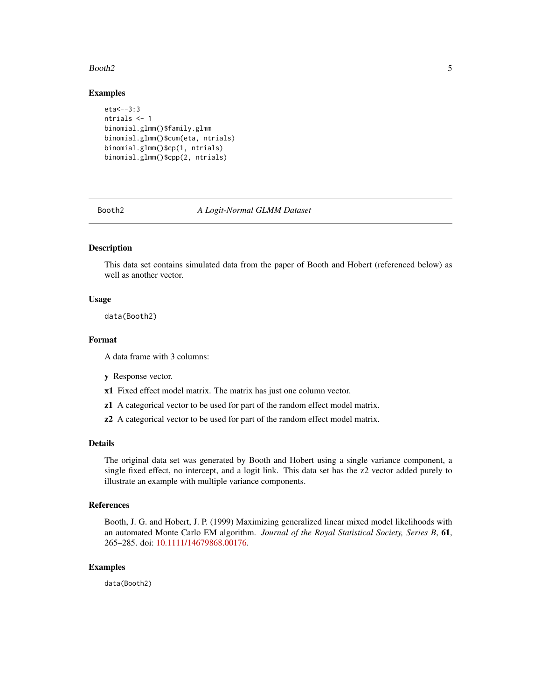#### <span id="page-4-0"></span>Booth2 5

#### Examples

```
eta < -3:3ntrials <- 1
binomial.glmm()$family.glmm
binomial.glmm()$cum(eta, ntrials)
binomial.glmm()$cp(1, ntrials)
binomial.glmm()$cpp(2, ntrials)
```
#### Booth2 *A Logit-Normal GLMM Dataset*

# Description

This data set contains simulated data from the paper of Booth and Hobert (referenced below) as well as another vector.

#### Usage

data(Booth2)

# Format

A data frame with 3 columns:

- y Response vector.
- x1 Fixed effect model matrix. The matrix has just one column vector.
- z1 A categorical vector to be used for part of the random effect model matrix.
- z2 A categorical vector to be used for part of the random effect model matrix.

#### Details

The original data set was generated by Booth and Hobert using a single variance component, a single fixed effect, no intercept, and a logit link. This data set has the z2 vector added purely to illustrate an example with multiple variance components.

# References

Booth, J. G. and Hobert, J. P. (1999) Maximizing generalized linear mixed model likelihoods with an automated Monte Carlo EM algorithm. *Journal of the Royal Statistical Society, Series B*, 61, 265–285. doi: [10.1111/14679868.00176.](https://doi.org/10.1111/1467-9868.00176)

#### Examples

data(Booth2)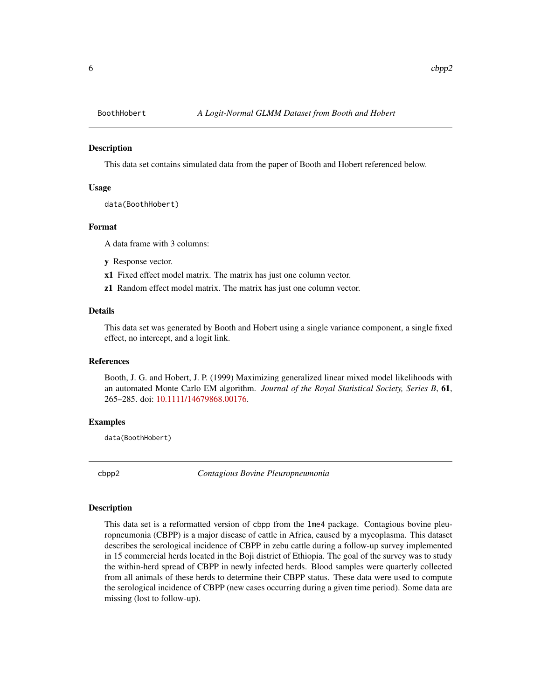<span id="page-5-0"></span>

This data set contains simulated data from the paper of Booth and Hobert referenced below.

#### Usage

data(BoothHobert)

#### Format

A data frame with 3 columns:

- y Response vector.
- x1 Fixed effect model matrix. The matrix has just one column vector.
- z1 Random effect model matrix. The matrix has just one column vector.

#### Details

This data set was generated by Booth and Hobert using a single variance component, a single fixed effect, no intercept, and a logit link.

#### References

Booth, J. G. and Hobert, J. P. (1999) Maximizing generalized linear mixed model likelihoods with an automated Monte Carlo EM algorithm. *Journal of the Royal Statistical Society, Series B*, 61, 265–285. doi: [10.1111/14679868.00176.](https://doi.org/10.1111/1467-9868.00176)

#### Examples

data(BoothHobert)

cbpp2 *Contagious Bovine Pleuropneumonia*

#### Description

This data set is a reformatted version of cbpp from the lme4 package. Contagious bovine pleuropneumonia (CBPP) is a major disease of cattle in Africa, caused by a mycoplasma. This dataset describes the serological incidence of CBPP in zebu cattle during a follow-up survey implemented in 15 commercial herds located in the Boji district of Ethiopia. The goal of the survey was to study the within-herd spread of CBPP in newly infected herds. Blood samples were quarterly collected from all animals of these herds to determine their CBPP status. These data were used to compute the serological incidence of CBPP (new cases occurring during a given time period). Some data are missing (lost to follow-up).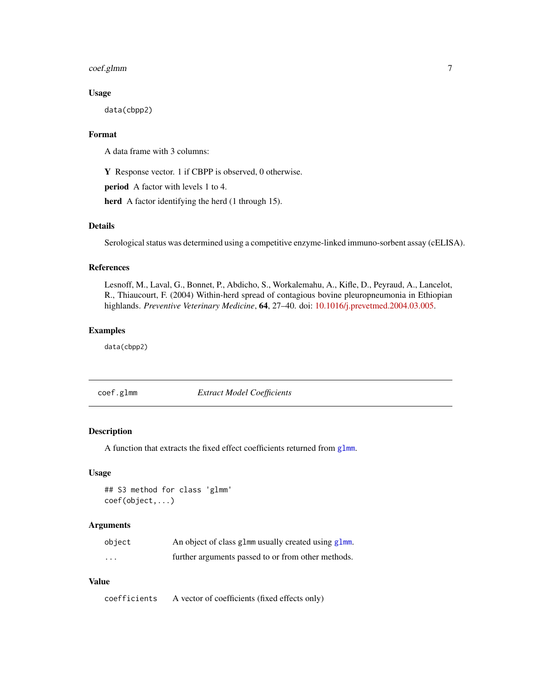# <span id="page-6-0"></span>coef.glmm 7

# Usage

data(cbpp2)

# Format

A data frame with 3 columns:

Y Response vector. 1 if CBPP is observed, 0 otherwise.

period A factor with levels 1 to 4.

herd A factor identifying the herd (1 through 15).

# Details

Serological status was determined using a competitive enzyme-linked immuno-sorbent assay (cELISA).

# References

Lesnoff, M., Laval, G., Bonnet, P., Abdicho, S., Workalemahu, A., Kifle, D., Peyraud, A., Lancelot, R., Thiaucourt, F. (2004) Within-herd spread of contagious bovine pleuropneumonia in Ethiopian highlands. *Preventive Veterinary Medicine*, 64, 27–40. doi: [10.1016/j.prevetmed.2004.03.005.](https://doi.org/10.1016/j.prevetmed.2004.03.005)

#### Examples

data(cbpp2)

<span id="page-6-1"></span>coef.glmm *Extract Model Coefficients*

#### Description

A function that extracts the fixed effect coefficients returned from [glmm](#page-8-1).

#### Usage

## S3 method for class 'glmm' coef(object,...)

# Arguments

| object   | An object of class glmm usually created using glmm. |
|----------|-----------------------------------------------------|
| $\cdots$ | further arguments passed to or from other methods.  |

# Value

coefficients A vector of coefficients (fixed effects only)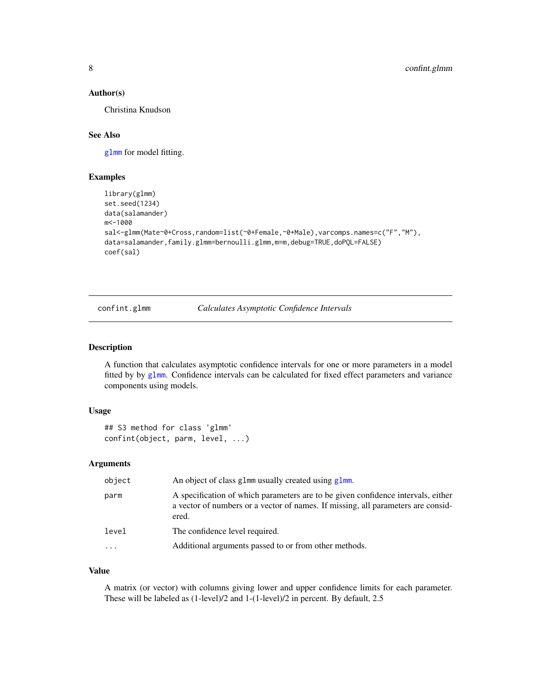#### <span id="page-7-0"></span>Author(s)

Christina Knudson

#### See Also

[glmm](#page-8-1) for model fitting.

#### Examples

```
library(glmm)
set.seed(1234)
data(salamander)
m<-1000
sal<-glmm(Mate~0+Cross,random=list(~0+Female,~0+Male),varcomps.names=c("F","M"),
data=salamander,family.glmm=bernoulli.glmm,m=m,debug=TRUE,doPQL=FALSE)
coef(sal)
```
confint.glmm *Calculates Asymptotic Confidence Intervals*

#### Description

A function that calculates asymptotic confidence intervals for one or more parameters in a model fitted by by [glmm](#page-8-1). Confidence intervals can be calculated for fixed effect parameters and variance components using models.

#### Usage

```
## S3 method for class 'glmm'
confint(object, parm, level, ...)
```
#### Arguments

| object   | An object of class glmm usually created using glmm.                                                                                                                           |
|----------|-------------------------------------------------------------------------------------------------------------------------------------------------------------------------------|
| parm     | A specification of which parameters are to be given confidence intervals, either<br>a vector of numbers or a vector of names. If missing, all parameters are consid-<br>ered. |
| level    | The confidence level required.                                                                                                                                                |
| $\cdots$ | Additional arguments passed to or from other methods.                                                                                                                         |

# Value

A matrix (or vector) with columns giving lower and upper confidence limits for each parameter. These will be labeled as (1-level)/2 and 1-(1-level)/2 in percent. By default, 2.5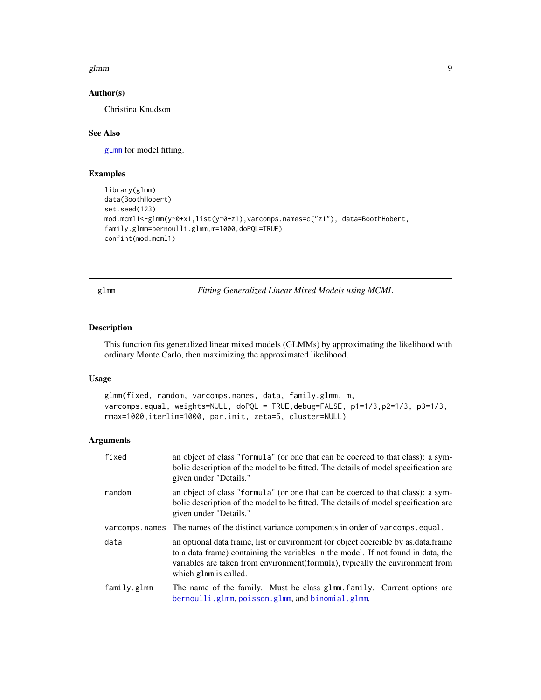#### <span id="page-8-0"></span>glmm  $\sim$  9

#### Author(s)

Christina Knudson

# See Also

[glmm](#page-8-1) for model fitting.

# Examples

```
library(glmm)
data(BoothHobert)
set.seed(123)
mod.mcml1<-glmm(y~0+x1,list(y~0+z1),varcomps.names=c("z1"), data=BoothHobert,
family.glmm=bernoulli.glmm,m=1000,doPQL=TRUE)
confint(mod.mcml1)
```
<span id="page-8-1"></span>glmm *Fitting Generalized Linear Mixed Models using MCML*

# Description

This function fits generalized linear mixed models (GLMMs) by approximating the likelihood with ordinary Monte Carlo, then maximizing the approximated likelihood.

# Usage

```
glmm(fixed, random, varcomps.names, data, family.glmm, m,
varcomps.equal, weights=NULL, doPQL = TRUE,debug=FALSE, p1=1/3,p2=1/3, p3=1/3,
rmax=1000,iterlim=1000, par.init, zeta=5, cluster=NULL)
```
#### Arguments

| fixed          | an object of class "formula" (or one that can be coerced to that class): a sym-<br>bolic description of the model to be fitted. The details of model specification are<br>given under "Details."                                                                                  |
|----------------|-----------------------------------------------------------------------------------------------------------------------------------------------------------------------------------------------------------------------------------------------------------------------------------|
| random         | an object of class "formula" (or one that can be coerced to that class): a sym-<br>bolic description of the model to be fitted. The details of model specification are<br>given under "Details."                                                                                  |
| varcomps.names | The names of the distinct variance components in order of varcomps.equal.                                                                                                                                                                                                         |
| data           | an optional data frame, list or environment (or object coercible by as data frame<br>to a data frame) containing the variables in the model. If not found in data, the<br>variables are taken from environment (formula), typically the environment from<br>which glmm is called. |
| family.glmm    | The name of the family. Must be class glmm family. Current options are<br>bernoulli.glmm, poisson.glmm, and binomial.glmm.                                                                                                                                                        |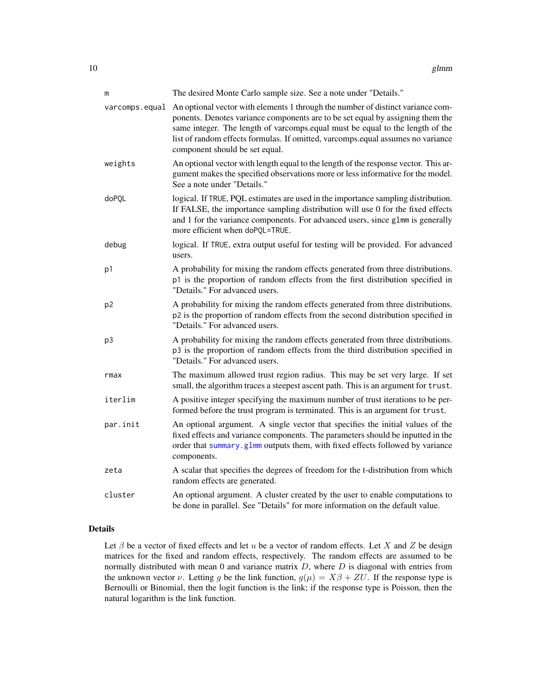<span id="page-9-0"></span>

| m              | The desired Monte Carlo sample size. See a note under "Details."                                                                                                                                                                                                                                                                                                        |
|----------------|-------------------------------------------------------------------------------------------------------------------------------------------------------------------------------------------------------------------------------------------------------------------------------------------------------------------------------------------------------------------------|
| varcomps.equal | An optional vector with elements 1 through the number of distinct variance com-<br>ponents. Denotes variance components are to be set equal by assigning them the<br>same integer. The length of varcomps.equal must be equal to the length of the<br>list of random effects formulas. If omitted, varcomps.equal assumes no variance<br>component should be set equal. |
| weights        | An optional vector with length equal to the length of the response vector. This ar-<br>gument makes the specified observations more or less informative for the model.<br>See a note under "Details."                                                                                                                                                                   |
| doPQL          | logical. If TRUE, PQL estimates are used in the importance sampling distribution.<br>If FALSE, the importance sampling distribution will use 0 for the fixed effects<br>and 1 for the variance components. For advanced users, since g1mm is generally<br>more efficient when doPQL=TRUE.                                                                               |
| debug          | logical. If TRUE, extra output useful for testing will be provided. For advanced<br>users.                                                                                                                                                                                                                                                                              |
| p1             | A probability for mixing the random effects generated from three distributions.<br>p1 is the proportion of random effects from the first distribution specified in<br>"Details." For advanced users.                                                                                                                                                                    |
| p <sub>2</sub> | A probability for mixing the random effects generated from three distributions.<br>p2 is the proportion of random effects from the second distribution specified in<br>"Details." For advanced users.                                                                                                                                                                   |
| p3             | A probability for mixing the random effects generated from three distributions.<br>p3 is the proportion of random effects from the third distribution specified in<br>"Details." For advanced users.                                                                                                                                                                    |
| rmax           | The maximum allowed trust region radius. This may be set very large. If set<br>small, the algorithm traces a steepest ascent path. This is an argument for trust.                                                                                                                                                                                                       |
| iterlim        | A positive integer specifying the maximum number of trust iterations to be per-<br>formed before the trust program is terminated. This is an argument for trust.                                                                                                                                                                                                        |
| par.init       | An optional argument. A single vector that specifies the initial values of the<br>fixed effects and variance components. The parameters should be inputted in the<br>order that summary.glmm outputs them, with fixed effects followed by variance<br>components.                                                                                                       |
| zeta           | A scalar that specifies the degrees of freedom for the t-distribution from which<br>random effects are generated.                                                                                                                                                                                                                                                       |
| cluster        | An optional argument. A cluster created by the user to enable computations to<br>be done in parallel. See "Details" for more information on the default value.                                                                                                                                                                                                          |

# Details

Let  $\beta$  be a vector of fixed effects and let u be a vector of random effects. Let X and Z be design matrices for the fixed and random effects, respectively. The random effects are assumed to be normally distributed with mean  $0$  and variance matrix  $D$ , where  $D$  is diagonal with entries from the unknown vector  $\nu$ . Letting g be the link function,  $g(\mu) = X\beta + ZU$ . If the response type is Bernoulli or Binomial, then the logit function is the link; if the response type is Poisson, then the natural logarithm is the link function.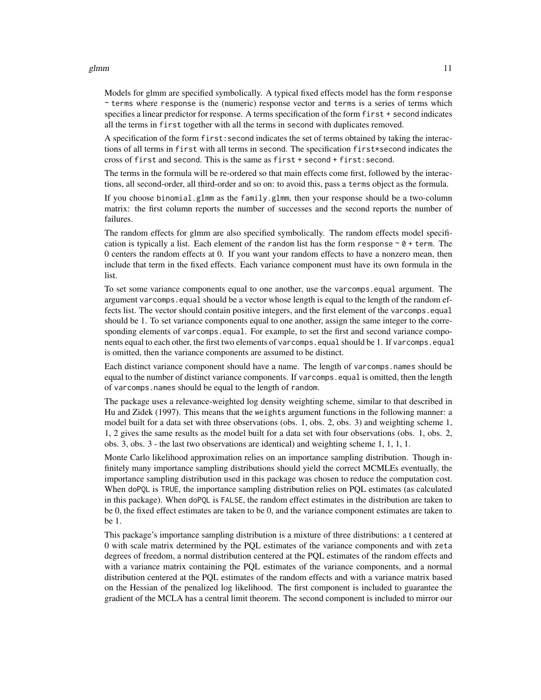#### glmm  $11$

Models for glmm are specified symbolically. A typical fixed effects model has the form response  $\sim$  terms where response is the (numeric) response vector and terms is a series of terms which specifies a linear predictor for response. A terms specification of the form first + second indicates all the terms in first together with all the terms in second with duplicates removed.

A specification of the form first:second indicates the set of terms obtained by taking the interactions of all terms in first with all terms in second. The specification first\*second indicates the cross of first and second. This is the same as first + second + first:second.

The terms in the formula will be re-ordered so that main effects come first, followed by the interactions, all second-order, all third-order and so on: to avoid this, pass a terms object as the formula.

If you choose binomial.glmm as the family.glmm, then your response should be a two-column matrix: the first column reports the number of successes and the second reports the number of failures.

The random effects for glmm are also specified symbolically. The random effects model specification is typically a list. Each element of the random list has the form response  $\sim \theta$  + term. The 0 centers the random effects at 0. If you want your random effects to have a nonzero mean, then include that term in the fixed effects. Each variance component must have its own formula in the list.

To set some variance components equal to one another, use the varcomps.equal argument. The argument varcomps.equal should be a vector whose length is equal to the length of the random effects list. The vector should contain positive integers, and the first element of the varcomps.equal should be 1. To set variance components equal to one another, assign the same integer to the corresponding elements of varcomps.equal. For example, to set the first and second variance components equal to each other, the first two elements of varcomps.equal should be 1. If varcomps.equal is omitted, then the variance components are assumed to be distinct.

Each distinct variance component should have a name. The length of varcomps.names should be equal to the number of distinct variance components. If varcomps.equal is omitted, then the length of varcomps.names should be equal to the length of random.

The package uses a relevance-weighted log density weighting scheme, similar to that described in Hu and Zidek (1997). This means that the weights argument functions in the following manner: a model built for a data set with three observations (obs. 1, obs. 2, obs. 3) and weighting scheme 1, 1, 2 gives the same results as the model built for a data set with four observations (obs. 1, obs. 2, obs. 3, obs. 3 - the last two observations are identical) and weighting scheme 1, 1, 1, 1.

Monte Carlo likelihood approximation relies on an importance sampling distribution. Though infinitely many importance sampling distributions should yield the correct MCMLEs eventually, the importance sampling distribution used in this package was chosen to reduce the computation cost. When doPQL is TRUE, the importance sampling distribution relies on PQL estimates (as calculated in this package). When doPQL is FALSE, the random effect estimates in the distribution are taken to be 0, the fixed effect estimates are taken to be 0, and the variance component estimates are taken to be 1.

This package's importance sampling distribution is a mixture of three distributions: a t centered at 0 with scale matrix determined by the PQL estimates of the variance components and with zeta degrees of freedom, a normal distribution centered at the PQL estimates of the random effects and with a variance matrix containing the PQL estimates of the variance components, and a normal distribution centered at the PQL estimates of the random effects and with a variance matrix based on the Hessian of the penalized log likelihood. The first component is included to guarantee the gradient of the MCLA has a central limit theorem. The second component is included to mirror our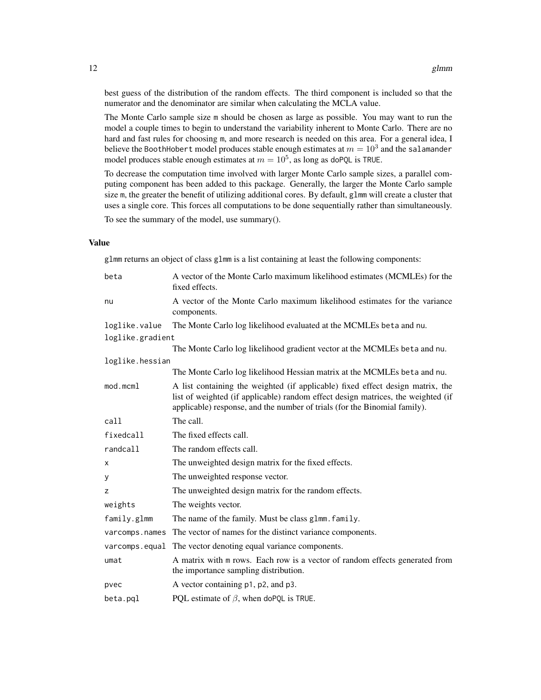best guess of the distribution of the random effects. The third component is included so that the numerator and the denominator are similar when calculating the MCLA value.

The Monte Carlo sample size m should be chosen as large as possible. You may want to run the model a couple times to begin to understand the variability inherent to Monte Carlo. There are no hard and fast rules for choosing m, and more research is needed on this area. For a general idea, I believe the BoothHobert model produces stable enough estimates at  $m=10^3$  and the salamander model produces stable enough estimates at  $m = 10^5$ , as long as doPQL is TRUE.

To decrease the computation time involved with larger Monte Carlo sample sizes, a parallel computing component has been added to this package. Generally, the larger the Monte Carlo sample size m, the greater the benefit of utilizing additional cores. By default, glmm will create a cluster that uses a single core. This forces all computations to be done sequentially rather than simultaneously.

To see the summary of the model, use summary().

#### Value

glmm returns an object of class glmm is a list containing at least the following components:

| beta             | A vector of the Monte Carlo maximum likelihood estimates (MCMLEs) for the<br>fixed effects.                                                                                                                                                     |
|------------------|-------------------------------------------------------------------------------------------------------------------------------------------------------------------------------------------------------------------------------------------------|
| nu               | A vector of the Monte Carlo maximum likelihood estimates for the variance<br>components.                                                                                                                                                        |
| loglike.value    | The Monte Carlo log likelihood evaluated at the MCMLEs beta and nu.                                                                                                                                                                             |
| loglike.gradient |                                                                                                                                                                                                                                                 |
|                  | The Monte Carlo log likelihood gradient vector at the MCMLEs beta and nu.                                                                                                                                                                       |
| loglike.hessian  |                                                                                                                                                                                                                                                 |
|                  | The Monte Carlo log likelihood Hessian matrix at the MCMLEs beta and nu.                                                                                                                                                                        |
| mod.mcm1         | A list containing the weighted (if applicable) fixed effect design matrix, the<br>list of weighted (if applicable) random effect design matrices, the weighted (if<br>applicable) response, and the number of trials (for the Binomial family). |
| call             | The call.                                                                                                                                                                                                                                       |
| fixedcall        | The fixed effects call.                                                                                                                                                                                                                         |
| randcall         | The random effects call.                                                                                                                                                                                                                        |
| х                | The unweighted design matrix for the fixed effects.                                                                                                                                                                                             |
| у                | The unweighted response vector.                                                                                                                                                                                                                 |
| z                | The unweighted design matrix for the random effects.                                                                                                                                                                                            |
| weights          | The weights vector.                                                                                                                                                                                                                             |
| family.glmm      | The name of the family. Must be class glmm. family.                                                                                                                                                                                             |
| varcomps.names   | The vector of names for the distinct variance components.                                                                                                                                                                                       |
|                  | varcomps.equal The vector denoting equal variance components.                                                                                                                                                                                   |
| umat             | A matrix with m rows. Each row is a vector of random effects generated from<br>the importance sampling distribution.                                                                                                                            |
| pvec             | A vector containing p1, p2, and p3.                                                                                                                                                                                                             |
| beta.pql         | PQL estimate of $\beta$ , when doPQL is TRUE.                                                                                                                                                                                                   |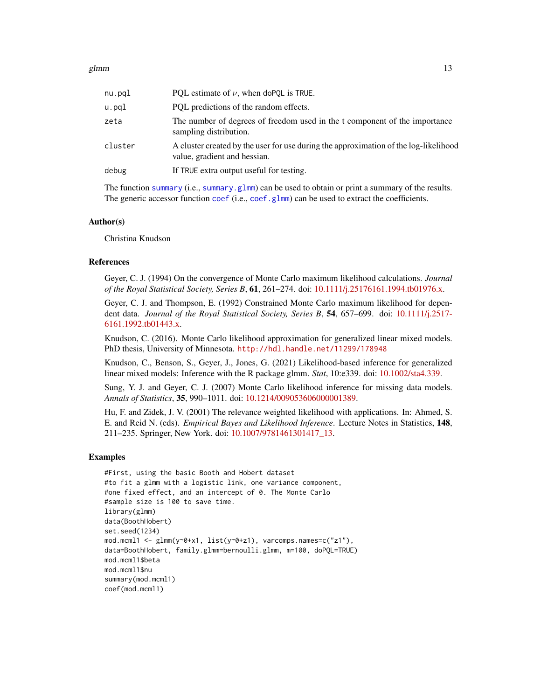<span id="page-12-0"></span>

| nu.pql  | PQL estimate of $\nu$ , when doPQL is TRUE.                                                                          |
|---------|----------------------------------------------------------------------------------------------------------------------|
| u.pql   | PQL predictions of the random effects.                                                                               |
| zeta    | The number of degrees of freedom used in the t component of the importance<br>sampling distribution.                 |
| cluster | A cluster created by the user for use during the approximation of the log-likelihood<br>value, gradient and hessian. |
| debug   | If TRUE extra output useful for testing.                                                                             |
|         |                                                                                                                      |

The function [summary](#page-0-0) (i.e., summary .glmm) can be used to obtain or print a summary of the results. The generic accessor function [coef](#page-0-0) (i.e., [coef.glmm](#page-6-1)) can be used to extract the coefficients.

#### Author(s)

Christina Knudson

#### References

Geyer, C. J. (1994) On the convergence of Monte Carlo maximum likelihood calculations. *Journal of the Royal Statistical Society, Series B*, 61, 261–274. doi: [10.1111/j.25176161.1994.tb01976.x.](https://doi.org/10.1111/j.2517-6161.1994.tb01976.x)

Geyer, C. J. and Thompson, E. (1992) Constrained Monte Carlo maximum likelihood for dependent data. *Journal of the Royal Statistical Society, Series B*, 54, 657–699. doi: [10.1111/j.2517-](https://doi.org/10.1111/j.2517-6161.1992.tb01443.x) [6161.1992.tb01443.x.](https://doi.org/10.1111/j.2517-6161.1992.tb01443.x)

Knudson, C. (2016). Monte Carlo likelihood approximation for generalized linear mixed models. PhD thesis, University of Minnesota. <http://hdl.handle.net/11299/178948>

Knudson, C., Benson, S., Geyer, J., Jones, G. (2021) Likelihood-based inference for generalized linear mixed models: Inference with the R package glmm. *Stat*, 10:e339. doi: [10.1002/sta4.339.](https://doi.org/10.1002/sta4.339)

Sung, Y. J. and Geyer, C. J. (2007) Monte Carlo likelihood inference for missing data models. *Annals of Statistics*, 35, 990–1011. doi: [10.1214/009053606000001389.](https://doi.org/10.1214/009053606000001389)

Hu, F. and Zidek, J. V. (2001) The relevance weighted likelihood with applications. In: Ahmed, S. E. and Reid N. (eds). *Empirical Bayes and Likelihood Inference*. Lecture Notes in Statistics, 148, 211–235. Springer, New York. doi: [10.1007/9781461301417\\_13.](https://doi.org/10.1007/978-1-4613-0141-7_13)

#### Examples

```
#First, using the basic Booth and Hobert dataset
#to fit a glmm with a logistic link, one variance component,
#one fixed effect, and an intercept of 0. The Monte Carlo
#sample size is 100 to save time.
library(glmm)
data(BoothHobert)
set.seed(1234)
mod.mcml1 <- glmm(y~0+x1, list(y~0+z1), varcomps.names=c("z1"),
data=BoothHobert, family.glmm=bernoulli.glmm, m=100, doPQL=TRUE)
mod.mcml1$beta
mod.mcml1$nu
summary(mod.mcml1)
coef(mod.mcml1)
```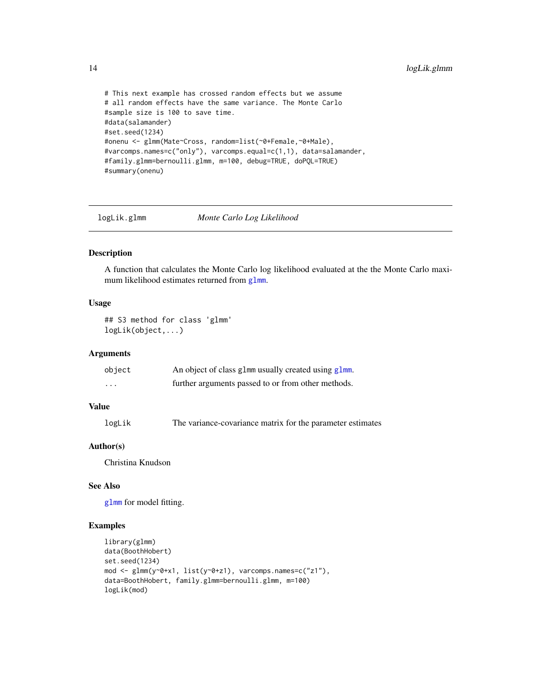```
# This next example has crossed random effects but we assume
# all random effects have the same variance. The Monte Carlo
#sample size is 100 to save time.
#data(salamander)
#set.seed(1234)
#onenu <- glmm(Mate~Cross, random=list(~0+Female,~0+Male),
#varcomps.names=c("only"), varcomps.equal=c(1,1), data=salamander,
#family.glmm=bernoulli.glmm, m=100, debug=TRUE, doPQL=TRUE)
#summary(onenu)
```
logLik.glmm *Monte Carlo Log Likelihood*

# Description

A function that calculates the Monte Carlo log likelihood evaluated at the the Monte Carlo maximum likelihood estimates returned from [glmm](#page-8-1).

#### Usage

## S3 method for class 'glmm' logLik(object,...)

#### Arguments

| object   | An object of class glmm usually created using glmm. |
|----------|-----------------------------------------------------|
| $\cdots$ | further arguments passed to or from other methods.  |

# Value

logLik The variance-covariance matrix for the parameter estimates

# Author(s)

Christina Knudson

# See Also

[glmm](#page-8-1) for model fitting.

# Examples

```
library(glmm)
data(BoothHobert)
set.seed(1234)
mod <- glmm(y~0+x1, list(y~0+z1), varcomps.names=c("z1"),
data=BoothHobert, family.glmm=bernoulli.glmm, m=100)
logLik(mod)
```
<span id="page-13-0"></span>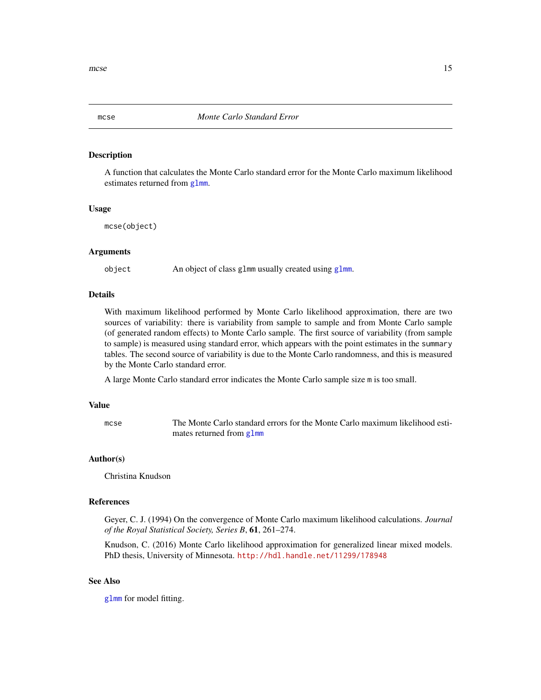<span id="page-14-1"></span><span id="page-14-0"></span>

A function that calculates the Monte Carlo standard error for the Monte Carlo maximum likelihood estimates returned from [glmm](#page-8-1).

#### Usage

mcse(object)

#### Arguments

object An object of class glmm usually created using [glmm](#page-8-1).

#### Details

With maximum likelihood performed by Monte Carlo likelihood approximation, there are two sources of variability: there is variability from sample to sample and from Monte Carlo sample (of generated random effects) to Monte Carlo sample. The first source of variability (from sample to sample) is measured using standard error, which appears with the point estimates in the summary tables. The second source of variability is due to the Monte Carlo randomness, and this is measured by the Monte Carlo standard error.

A large Monte Carlo standard error indicates the Monte Carlo sample size m is too small.

#### Value

mcse The Monte Carlo standard errors for the Monte Carlo maximum likelihood estimates returned from [glmm](#page-8-1)

#### Author(s)

Christina Knudson

#### References

Geyer, C. J. (1994) On the convergence of Monte Carlo maximum likelihood calculations. *Journal of the Royal Statistical Society, Series B*, 61, 261–274.

Knudson, C. (2016) Monte Carlo likelihood approximation for generalized linear mixed models. PhD thesis, University of Minnesota. <http://hdl.handle.net/11299/178948>

#### See Also

[glmm](#page-8-1) for model fitting.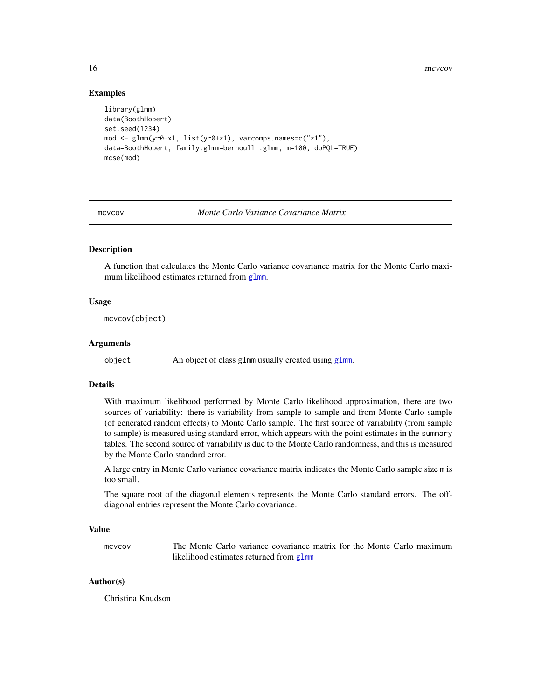16 mcvcov

#### Examples

```
library(glmm)
data(BoothHobert)
set.seed(1234)
mod <- glmm(y~0+x1, list(y~0+z1), varcomps.names=c("z1"),
data=BoothHobert, family.glmm=bernoulli.glmm, m=100, doPQL=TRUE)
mcse(mod)
```
mcvcov *Monte Carlo Variance Covariance Matrix*

#### Description

A function that calculates the Monte Carlo variance covariance matrix for the Monte Carlo maximum likelihood estimates returned from [glmm](#page-8-1).

#### Usage

mcvcov(object)

#### Arguments

object An object of class glmm usually created using [glmm](#page-8-1).

#### Details

With maximum likelihood performed by Monte Carlo likelihood approximation, there are two sources of variability: there is variability from sample to sample and from Monte Carlo sample (of generated random effects) to Monte Carlo sample. The first source of variability (from sample to sample) is measured using standard error, which appears with the point estimates in the summary tables. The second source of variability is due to the Monte Carlo randomness, and this is measured by the Monte Carlo standard error.

A large entry in Monte Carlo variance covariance matrix indicates the Monte Carlo sample size m is too small.

The square root of the diagonal elements represents the Monte Carlo standard errors. The offdiagonal entries represent the Monte Carlo covariance.

#### Value

mcvcov The Monte Carlo variance covariance matrix for the Monte Carlo maximum likelihood estimates returned from [glmm](#page-8-1)

# Author(s)

Christina Knudson

<span id="page-15-0"></span>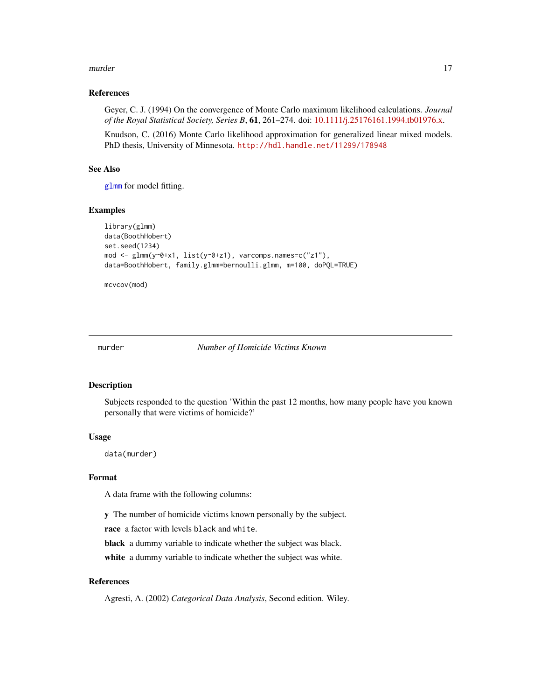#### <span id="page-16-0"></span>murder and the contract of the contract of the contract of the contract of the contract of the contract of the contract of the contract of the contract of the contract of the contract of the contract of the contract of the

#### References

Geyer, C. J. (1994) On the convergence of Monte Carlo maximum likelihood calculations. *Journal of the Royal Statistical Society, Series B*, 61, 261–274. doi: [10.1111/j.25176161.1994.tb01976.x.](https://doi.org/10.1111/j.2517-6161.1994.tb01976.x)

Knudson, C. (2016) Monte Carlo likelihood approximation for generalized linear mixed models. PhD thesis, University of Minnesota. <http://hdl.handle.net/11299/178948>

#### See Also

[glmm](#page-8-1) for model fitting.

#### Examples

```
library(glmm)
data(BoothHobert)
set.seed(1234)
mod <- glmm(y~0+x1, list(y~0+z1), varcomps.names=c("z1"),
data=BoothHobert, family.glmm=bernoulli.glmm, m=100, doPQL=TRUE)
```
mcvcov(mod)

murder *Number of Homicide Victims Known*

#### Description

Subjects responded to the question 'Within the past 12 months, how many people have you known personally that were victims of homicide?'

# Usage

data(murder)

#### Format

A data frame with the following columns:

y The number of homicide victims known personally by the subject.

race a factor with levels black and white.

black a dummy variable to indicate whether the subject was black.

white a dummy variable to indicate whether the subject was white.

# References

Agresti, A. (2002) *Categorical Data Analysis*, Second edition. Wiley.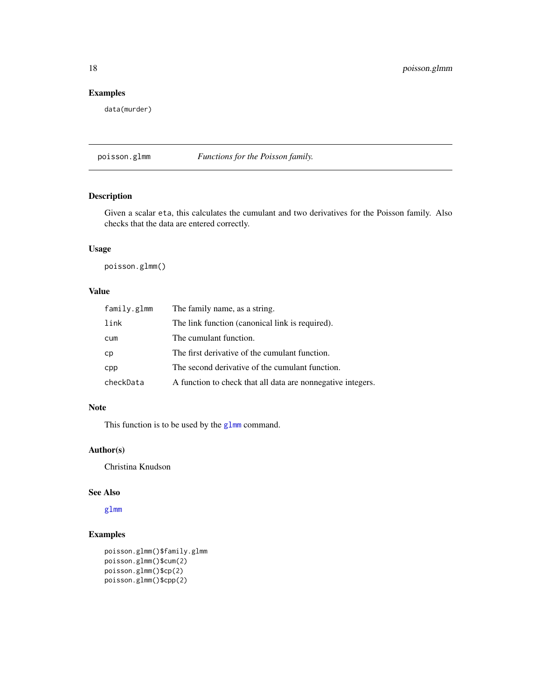# Examples

data(murder)

<span id="page-17-1"></span>poisson.glmm *Functions for the Poisson family.*

# Description

Given a scalar eta, this calculates the cumulant and two derivatives for the Poisson family. Also checks that the data are entered correctly.

# Usage

poisson.glmm()

# Value

| family.glmm | The family name, as a string.                               |
|-------------|-------------------------------------------------------------|
| link        | The link function (canonical link is required).             |
| cum         | The cumulant function.                                      |
| cp          | The first derivative of the cumulant function.              |
| cpp         | The second derivative of the cumulant function.             |
| checkData   | A function to check that all data are nonnegative integers. |

# Note

This function is to be used by the [glmm](#page-8-1) command.

# Author(s)

Christina Knudson

# See Also

[glmm](#page-8-1)

# Examples

```
poisson.glmm()$family.glmm
poisson.glmm()$cum(2)
poisson.glmm()$cp(2)
poisson.glmm()$cpp(2)
```
<span id="page-17-0"></span>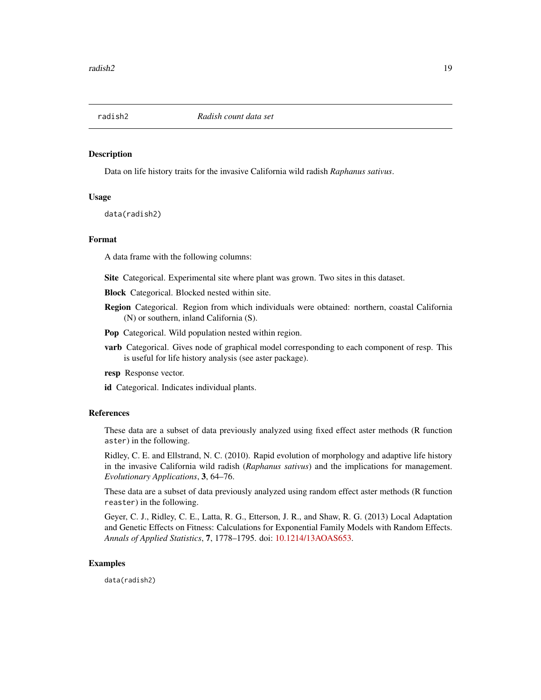<span id="page-18-0"></span>

Data on life history traits for the invasive California wild radish *Raphanus sativus*.

#### Usage

data(radish2)

#### Format

A data frame with the following columns:

Site Categorical. Experimental site where plant was grown. Two sites in this dataset.

Block Categorical. Blocked nested within site.

- Region Categorical. Region from which individuals were obtained: northern, coastal California (N) or southern, inland California (S).
- Pop Categorical. Wild population nested within region.
- varb Categorical. Gives node of graphical model corresponding to each component of resp. This is useful for life history analysis (see aster package).
- resp Response vector.

id Categorical. Indicates individual plants.

#### References

These data are a subset of data previously analyzed using fixed effect aster methods (R function aster) in the following.

Ridley, C. E. and Ellstrand, N. C. (2010). Rapid evolution of morphology and adaptive life history in the invasive California wild radish (*Raphanus sativus*) and the implications for management. *Evolutionary Applications*, 3, 64–76.

These data are a subset of data previously analyzed using random effect aster methods (R function reaster) in the following.

Geyer, C. J., Ridley, C. E., Latta, R. G., Etterson, J. R., and Shaw, R. G. (2013) Local Adaptation and Genetic Effects on Fitness: Calculations for Exponential Family Models with Random Effects. *Annals of Applied Statistics*, 7, 1778–1795. doi: [10.1214/13AOAS653.](https://doi.org/10.1214/13-AOAS653)

#### Examples

data(radish2)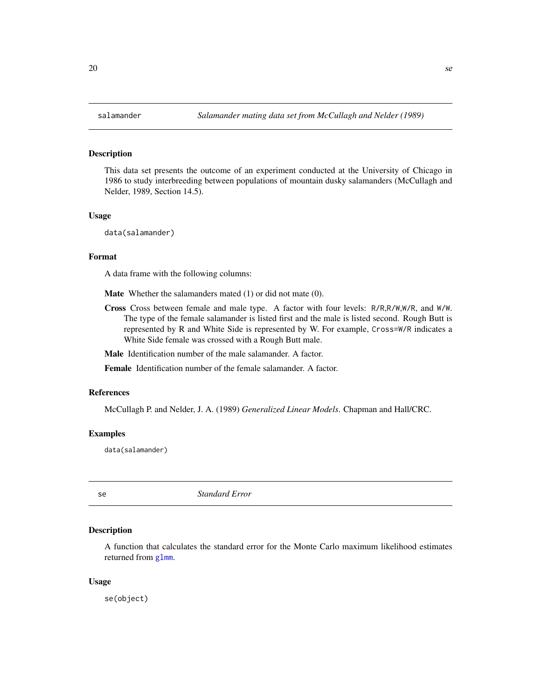<span id="page-19-0"></span>This data set presents the outcome of an experiment conducted at the University of Chicago in 1986 to study interbreeding between populations of mountain dusky salamanders (McCullagh and Nelder, 1989, Section 14.5).

#### Usage

data(salamander)

# Format

A data frame with the following columns:

Mate Whether the salamanders mated (1) or did not mate (0).

Cross Cross between female and male type. A factor with four levels: R/R,R/W,W/R, and W/W. The type of the female salamander is listed first and the male is listed second. Rough Butt is represented by R and White Side is represented by W. For example, Cross=W/R indicates a White Side female was crossed with a Rough Butt male.

Male Identification number of the male salamander. A factor.

Female Identification number of the female salamander. A factor.

#### References

McCullagh P. and Nelder, J. A. (1989) *Generalized Linear Models*. Chapman and Hall/CRC.

#### Examples

data(salamander)

se *Standard Error*

# Description

A function that calculates the standard error for the Monte Carlo maximum likelihood estimates returned from g<sub>1mm</sub>.

#### Usage

se(object)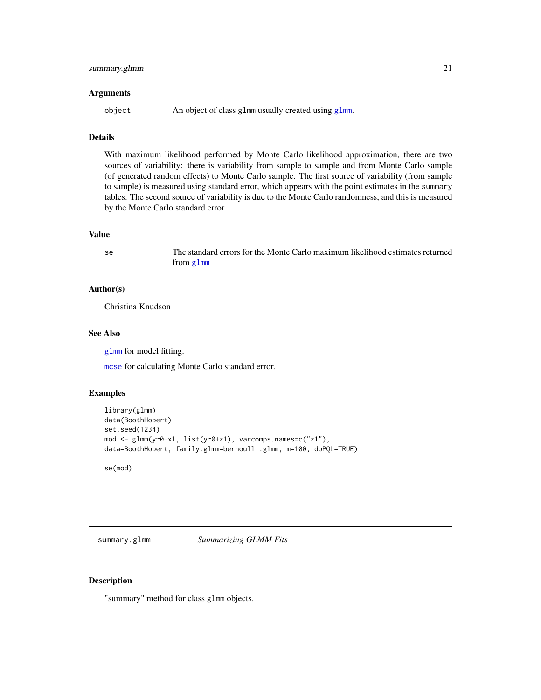#### <span id="page-20-0"></span>**Arguments**

object An object of class glmm usually created using [glmm](#page-8-1).

# Details

With maximum likelihood performed by Monte Carlo likelihood approximation, there are two sources of variability: there is variability from sample to sample and from Monte Carlo sample (of generated random effects) to Monte Carlo sample. The first source of variability (from sample to sample) is measured using standard error, which appears with the point estimates in the summary tables. The second source of variability is due to the Monte Carlo randomness, and this is measured by the Monte Carlo standard error.

#### Value

se The standard errors for the Monte Carlo maximum likelihood estimates returned from [glmm](#page-8-1)

#### Author(s)

Christina Knudson

#### See Also

[glmm](#page-8-1) for model fitting.

[mcse](#page-14-1) for calculating Monte Carlo standard error.

# Examples

```
library(glmm)
data(BoothHobert)
set.seed(1234)
mod <- glmm(y~0+x1, list(y~0+z1), varcomps.names=c("z1"),
data=BoothHobert, family.glmm=bernoulli.glmm, m=100, doPQL=TRUE)
```
se(mod)

<span id="page-20-1"></span>summary.glmm *Summarizing GLMM Fits*

#### Description

"summary" method for class glmm objects.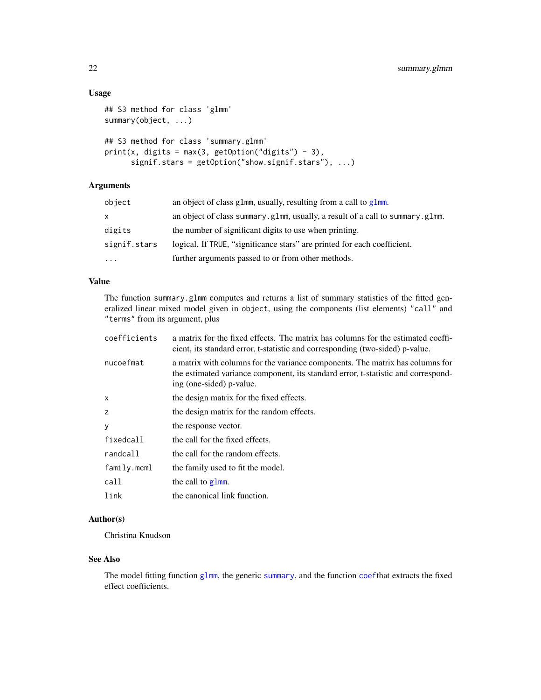# <span id="page-21-0"></span>Usage

```
## S3 method for class 'glmm'
summary(object, ...)
## S3 method for class 'summary.glmm'
print(x, digits = max(3, getOption("digits") - 3),signif.stars = getOption("show.signif.stars"), ...)
```
# Arguments

| object       | an object of class glmm, usually, resulting from a call to glmm.              |
|--------------|-------------------------------------------------------------------------------|
| X            | an object of class summary.g1mm, usually, a result of a call to summary.g1mm. |
| digits       | the number of significant digits to use when printing.                        |
| signif.stars | logical. If TRUE, "significance stars" are printed for each coefficient.      |
| $\cdots$     | further arguments passed to or from other methods.                            |
|              |                                                                               |

# Value

The function summary.glmm computes and returns a list of summary statistics of the fitted generalized linear mixed model given in object, using the components (list elements) "call" and "terms" from its argument, plus

| a matrix for the fixed effects. The matrix has columns for the estimated coeffi-<br>cient, its standard error, t-statistic and corresponding (two-sided) p-value.                              |  |  |  |  |
|------------------------------------------------------------------------------------------------------------------------------------------------------------------------------------------------|--|--|--|--|
| a matrix with columns for the variance components. The matrix has columns for<br>the estimated variance component, its standard error, t-statistic and correspond-<br>ing (one-sided) p-value. |  |  |  |  |
| the design matrix for the fixed effects.                                                                                                                                                       |  |  |  |  |
| the design matrix for the random effects.                                                                                                                                                      |  |  |  |  |
| the response vector.                                                                                                                                                                           |  |  |  |  |
| the call for the fixed effects.                                                                                                                                                                |  |  |  |  |
| the call for the random effects.                                                                                                                                                               |  |  |  |  |
| the family used to fit the model.                                                                                                                                                              |  |  |  |  |
| the call to glmm.                                                                                                                                                                              |  |  |  |  |
| the canonical link function.                                                                                                                                                                   |  |  |  |  |
|                                                                                                                                                                                                |  |  |  |  |

# Author(s)

Christina Knudson

# See Also

The model fitting function [glmm](#page-8-1), the generic [summary](#page-0-0), and the function [coef](#page-0-0)that extracts the fixed effect coefficients.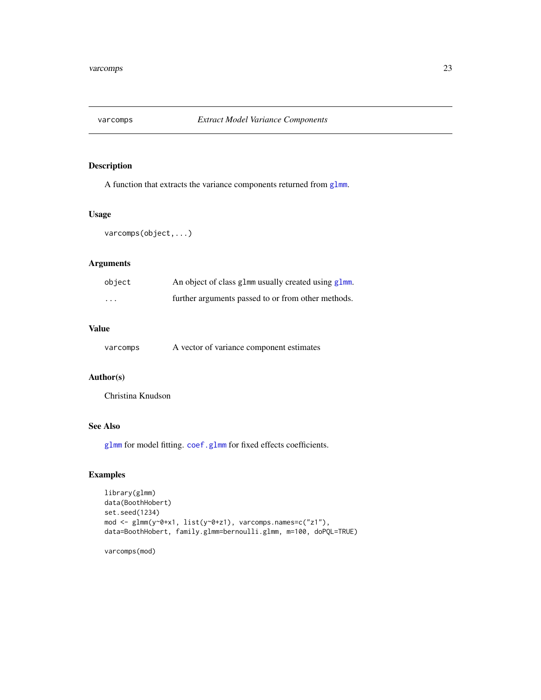<span id="page-22-0"></span>

A function that extracts the variance components returned from [glmm](#page-8-1).

# Usage

varcomps(object,...)

# Arguments

| object   | An object of class glmm usually created using glmm. |
|----------|-----------------------------------------------------|
| $\cdots$ | further arguments passed to or from other methods.  |

#### Value

| varcomps |  | A vector of variance component estimates |
|----------|--|------------------------------------------|
|----------|--|------------------------------------------|

# Author(s)

Christina Knudson

# See Also

[glmm](#page-8-1) for model fitting. [coef.glmm](#page-6-1) for fixed effects coefficients.

# Examples

```
library(glmm)
data(BoothHobert)
set.seed(1234)
mod <- glmm(y~0+x1, list(y~0+z1), varcomps.names=c("z1"),
data=BoothHobert, family.glmm=bernoulli.glmm, m=100, doPQL=TRUE)
```
varcomps(mod)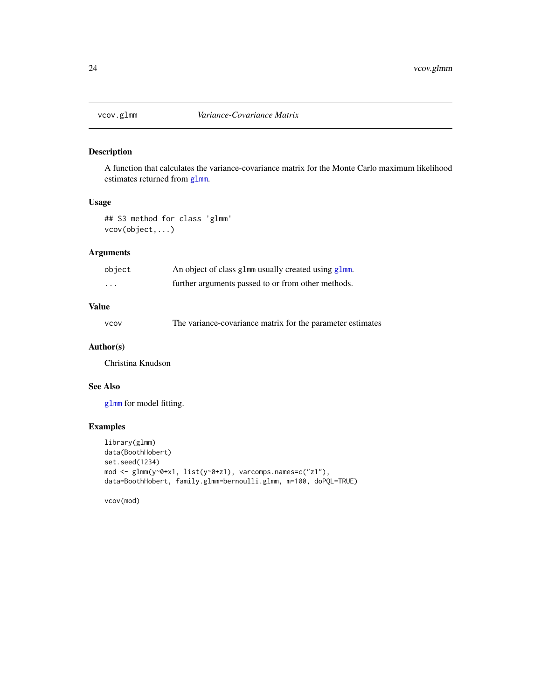<span id="page-23-0"></span>

A function that calculates the variance-covariance matrix for the Monte Carlo maximum likelihood estimates returned from [glmm](#page-8-1).

# Usage

## S3 method for class 'glmm' vcov(object,...)

# Arguments

| object   | An object of class glmm usually created using glmm. |  |  |  |  |
|----------|-----------------------------------------------------|--|--|--|--|
| $\cdots$ | further arguments passed to or from other methods.  |  |  |  |  |

# Value

| <b>VCOV</b> | The variance-covariance matrix for the parameter estimates |  |  |  |  |  |
|-------------|------------------------------------------------------------|--|--|--|--|--|
|-------------|------------------------------------------------------------|--|--|--|--|--|

# Author(s)

Christina Knudson

# See Also

[glmm](#page-8-1) for model fitting.

# Examples

```
library(glmm)
data(BoothHobert)
set.seed(1234)
mod <- glmm(y~0+x1, list(y~0+z1), varcomps.names=c("z1"),
data=BoothHobert, family.glmm=bernoulli.glmm, m=100, doPQL=TRUE)
```
vcov(mod)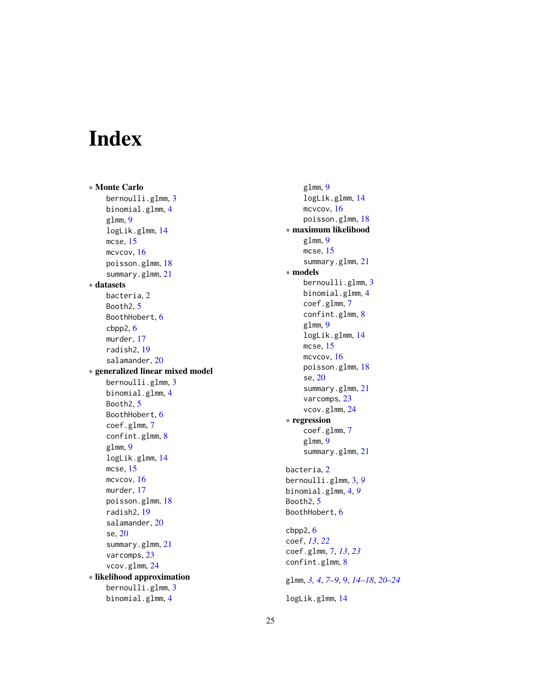# <span id="page-24-0"></span>Index

∗ Monte Carlo bernoulli.glmm , [3](#page-2-0) binomial.glmm , [4](#page-3-0) glmm , [9](#page-8-0) logLik.glmm , [14](#page-13-0) mcse , [15](#page-14-0) mcvcov , [16](#page-15-0) poisson.glmm , [18](#page-17-0) summary.glmm , [21](#page-20-0) ∗ datasets bacteria , [2](#page-1-0) Booth2, <mark>[5](#page-4-0)</mark> BoothHobert, [6](#page-5-0) cbpp2 , [6](#page-5-0) murder , [17](#page-16-0) radish2 , [19](#page-18-0) salamander , [20](#page-19-0) ∗ generalized linear mixed model bernoulli.glmm , [3](#page-2-0) binomial.glmm , [4](#page-3-0) Booth2, <mark>[5](#page-4-0)</mark> BoothHobert, [6](#page-5-0) coef.glmm , [7](#page-6-0) confint.glmm, [8](#page-7-0) glmm , [9](#page-8-0) logLik.glmm , [14](#page-13-0) mcse , [15](#page-14-0) mcvcov , [16](#page-15-0) murder , [17](#page-16-0) poisson.glmm , [18](#page-17-0) radish2 , [19](#page-18-0) salamander, [20](#page-19-0) se , [20](#page-19-0) summary.glmm , [21](#page-20-0) varcomps , [23](#page-22-0) vcov.glmm , [24](#page-23-0) ∗ likelihood approximation bernoulli.glmm , [3](#page-2-0) binomial.glmm , [4](#page-3-0)

glmm , [9](#page-8-0) logLik.glmm , [14](#page-13-0) mcvcov, [16](#page-15-0) poisson.glmm , [18](#page-17-0) ∗ maximum likelihood glmm , [9](#page-8-0) mcse , [15](#page-14-0) summary.glmm , [21](#page-20-0) ∗ models bernoulli.glmm , [3](#page-2-0) binomial.glmm , [4](#page-3-0) coef.glmm , [7](#page-6-0) confint.glmm, [8](#page-7-0) glmm , [9](#page-8-0) logLik.glmm , [14](#page-13-0) mcse , [15](#page-14-0) mcvcov, [16](#page-15-0) poisson.glmm , [18](#page-17-0) se , [20](#page-19-0) summary.glmm , [21](#page-20-0) varcomps , [23](#page-22-0) vcov.glmm , [24](#page-23-0) ∗ regression coef.glmm, [7](#page-6-0) glmm , [9](#page-8-0) summary.glmm , [21](#page-20-0) bacteria, [2](#page-1-0) bernoulli.glmm , [3](#page-2-0) , *[9](#page-8-0)* binomial.glmm , [4](#page-3-0) , *[9](#page-8-0)* Booth2, <mark>[5](#page-4-0)</mark> BoothHobert, [6](#page-5-0) cbpp2 , [6](#page-5-0) coef , *[13](#page-12-0)* , *[22](#page-21-0)* coef.glmm , [7](#page-6-0) , *[13](#page-12-0)* , *[23](#page-22-0)* confint.glmm , [8](#page-7-0) glmm , *[3](#page-2-0) , [4](#page-3-0)* , *[7–](#page-6-0) [9](#page-8-0)* , [9](#page-8-0) , *[14](#page-13-0) [–18](#page-17-0)* , *[20](#page-19-0)[–24](#page-23-0)* logLik.glmm , [14](#page-13-0)